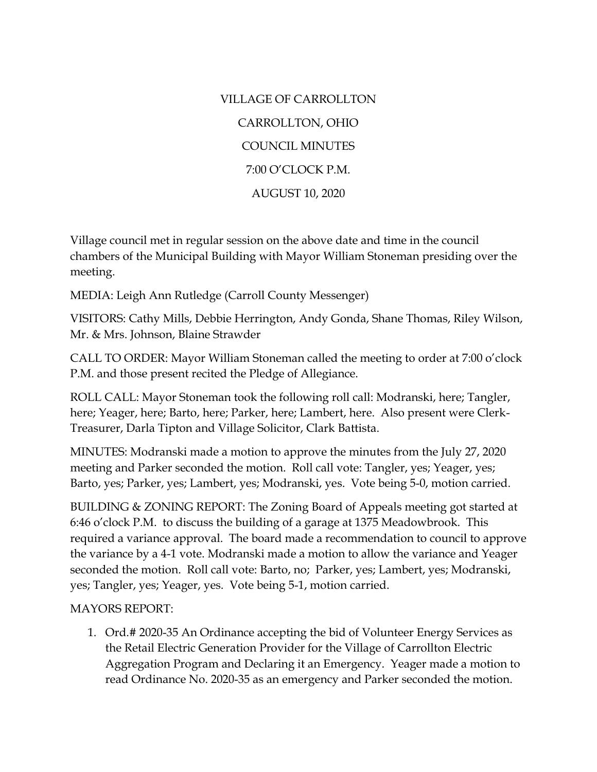VILLAGE OF CARROLLTON CARROLLTON, OHIO COUNCIL MINUTES 7:00 O'CLOCK P.M. AUGUST 10, 2020

Village council met in regular session on the above date and time in the council chambers of the Municipal Building with Mayor William Stoneman presiding over the meeting.

MEDIA: Leigh Ann Rutledge (Carroll County Messenger)

VISITORS: Cathy Mills, Debbie Herrington, Andy Gonda, Shane Thomas, Riley Wilson, Mr. & Mrs. Johnson, Blaine Strawder

CALL TO ORDER: Mayor William Stoneman called the meeting to order at 7:00 o'clock P.M. and those present recited the Pledge of Allegiance.

ROLL CALL: Mayor Stoneman took the following roll call: Modranski, here; Tangler, here; Yeager, here; Barto, here; Parker, here; Lambert, here. Also present were Clerk-Treasurer, Darla Tipton and Village Solicitor, Clark Battista.

MINUTES: Modranski made a motion to approve the minutes from the July 27, 2020 meeting and Parker seconded the motion. Roll call vote: Tangler, yes; Yeager, yes; Barto, yes; Parker, yes; Lambert, yes; Modranski, yes. Vote being 5-0, motion carried.

BUILDING & ZONING REPORT: The Zoning Board of Appeals meeting got started at 6:46 o'clock P.M. to discuss the building of a garage at 1375 Meadowbrook. This required a variance approval. The board made a recommendation to council to approve the variance by a 4-1 vote. Modranski made a motion to allow the variance and Yeager seconded the motion. Roll call vote: Barto, no; Parker, yes; Lambert, yes; Modranski, yes; Tangler, yes; Yeager, yes. Vote being 5-1, motion carried.

## MAYORS REPORT:

1. Ord.# 2020-35 An Ordinance accepting the bid of Volunteer Energy Services as the Retail Electric Generation Provider for the Village of Carrollton Electric Aggregation Program and Declaring it an Emergency. Yeager made a motion to read Ordinance No. 2020-35 as an emergency and Parker seconded the motion.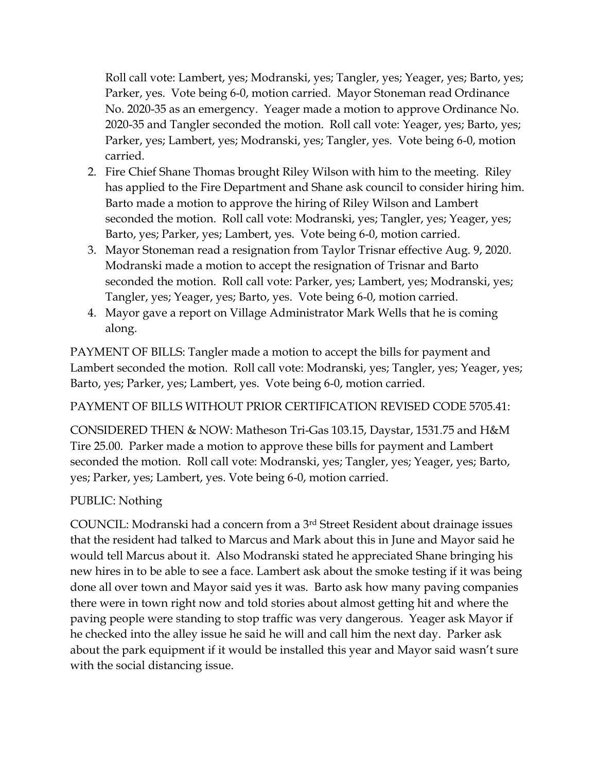Roll call vote: Lambert, yes; Modranski, yes; Tangler, yes; Yeager, yes; Barto, yes; Parker, yes. Vote being 6-0, motion carried. Mayor Stoneman read Ordinance No. 2020-35 as an emergency. Yeager made a motion to approve Ordinance No. 2020-35 and Tangler seconded the motion. Roll call vote: Yeager, yes; Barto, yes; Parker, yes; Lambert, yes; Modranski, yes; Tangler, yes. Vote being 6-0, motion carried.

- 2. Fire Chief Shane Thomas brought Riley Wilson with him to the meeting. Riley has applied to the Fire Department and Shane ask council to consider hiring him. Barto made a motion to approve the hiring of Riley Wilson and Lambert seconded the motion. Roll call vote: Modranski, yes; Tangler, yes; Yeager, yes; Barto, yes; Parker, yes; Lambert, yes. Vote being 6-0, motion carried.
- 3. Mayor Stoneman read a resignation from Taylor Trisnar effective Aug. 9, 2020. Modranski made a motion to accept the resignation of Trisnar and Barto seconded the motion. Roll call vote: Parker, yes; Lambert, yes; Modranski, yes; Tangler, yes; Yeager, yes; Barto, yes. Vote being 6-0, motion carried.
- 4. Mayor gave a report on Village Administrator Mark Wells that he is coming along.

PAYMENT OF BILLS: Tangler made a motion to accept the bills for payment and Lambert seconded the motion. Roll call vote: Modranski, yes; Tangler, yes; Yeager, yes; Barto, yes; Parker, yes; Lambert, yes. Vote being 6-0, motion carried.

## PAYMENT OF BILLS WITHOUT PRIOR CERTIFICATION REVISED CODE 5705.41:

CONSIDERED THEN & NOW: Matheson Tri-Gas 103.15, Daystar, 1531.75 and H&M Tire 25.00. Parker made a motion to approve these bills for payment and Lambert seconded the motion. Roll call vote: Modranski, yes; Tangler, yes; Yeager, yes; Barto, yes; Parker, yes; Lambert, yes. Vote being 6-0, motion carried.

## PUBLIC: Nothing

COUNCIL: Modranski had a concern from a 3rd Street Resident about drainage issues that the resident had talked to Marcus and Mark about this in June and Mayor said he would tell Marcus about it. Also Modranski stated he appreciated Shane bringing his new hires in to be able to see a face. Lambert ask about the smoke testing if it was being done all over town and Mayor said yes it was. Barto ask how many paving companies there were in town right now and told stories about almost getting hit and where the paving people were standing to stop traffic was very dangerous. Yeager ask Mayor if he checked into the alley issue he said he will and call him the next day. Parker ask about the park equipment if it would be installed this year and Mayor said wasn't sure with the social distancing issue.